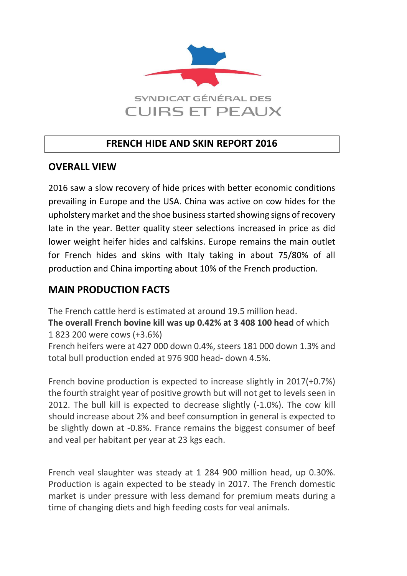

# **FRENCH HIDE AND SKIN REPORT 2016**

#### **OVERALL VIEW**

2016 saw a slow recovery of hide prices with better economic conditions prevailing in Europe and the USA. China was active on cow hides for the upholstery market and the shoe business started showing signs of recovery late in the year. Better quality steer selections increased in price as did lower weight heifer hides and calfskins. Europe remains the main outlet for French hides and skins with Italy taking in about 75/80% of all production and China importing about 10% of the French production.

### **MAIN PRODUCTION FACTS**

The French cattle herd is estimated at around 19.5 million head.

**The overall French bovine kill was up 0.42% at 3 408 100 head** of which 1 823 200 were cows (+3.6%)

French heifers were at 427 000 down 0.4%, steers 181 000 down 1.3% and total bull production ended at 976 900 head- down 4.5%.

French bovine production is expected to increase slightly in 2017(+0.7%) the fourth straight year of positive growth but will not get to levels seen in 2012. The bull kill is expected to decrease slightly (-1.0%). The cow kill should increase about 2% and beef consumption in general is expected to be slightly down at -0.8%. France remains the biggest consumer of beef and veal per habitant per year at 23 kgs each.

French veal slaughter was steady at 1 284 900 million head, up 0.30%. Production is again expected to be steady in 2017. The French domestic market is under pressure with less demand for premium meats during a time of changing diets and high feeding costs for veal animals.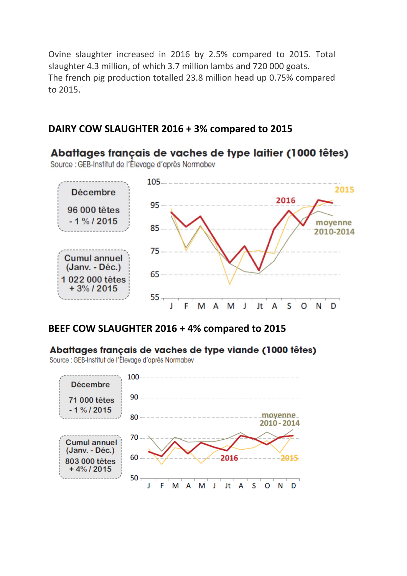Ovine slaughter increased in 2016 by 2.5% compared to 2015. Total slaughter 4.3 million, of which 3.7 million lambs and 720 000 goats. The french pig production totalled 23.8 million head up 0.75% compared to 2015.

# **DAIRY COW SLAUGHTER 2016 + 3% compared to 2015**



#### **BEEF COW SLAUGHTER 2016 + 4% compared to 2015**

#### Abattages français de vaches de type viande (1000 têtes)

Source : GEB-Institut de l'Élevage d'après Normabev